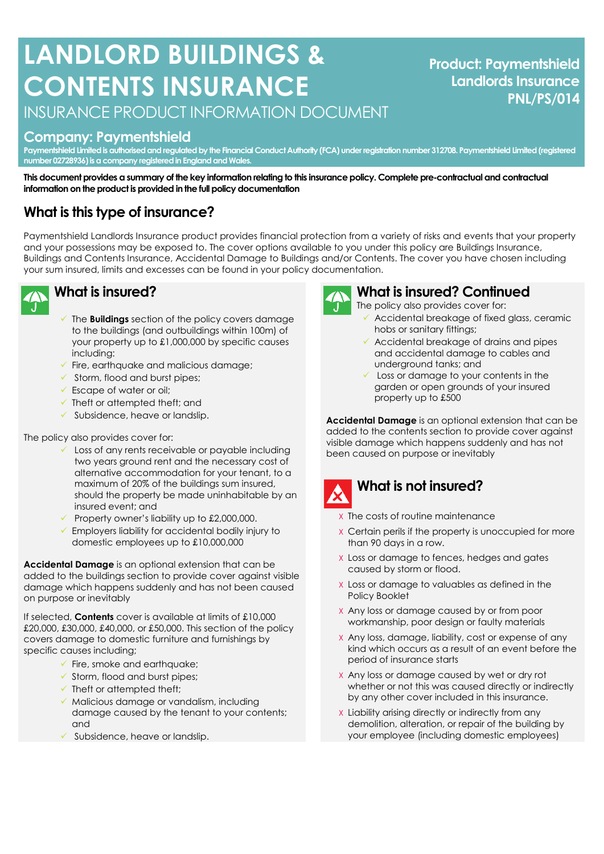# **LANDLORD BUILDINGS & CONTENTS INSURANCE** INSURANCE PRODUCT INFORMATION DOCUMENT

# **Product: Paymentshield Landlords Insurance PNL/PS/014**

## **Company: Paymentshield**

Paymentshield Limited is authorised and regulated by the Financial Conduct Authority (FCA) under registration number 312708. Paymentshield Limited (registered **number 02728936) is a company registered in England and Wales.**

**This document provides a summary of the key information relating to this insurance policy. Complete pre-contractual and contractual information on the product is provided in the full policy documentation**

# **What is this type of insurance?**

Paymentshield Landlords Insurance product provides financial protection from a variety of risks and events that your property and your possessions may be exposed to. The cover options available to you under this policy are Buildings Insurance, Buildings and Contents Insurance, Accidental Damage to Buildings and/or Contents. The cover you have chosen including your sum insured, limits and excesses can be found in your policy documentation.



## **What is insured?**

- The **Buildings** section of the policy covers damage to the buildings (and outbuildings within 100m) of your property up to £1,000,000 by specific causes including:
- $\checkmark$  Fire, earthquake and malicious damage;
- ✓ Storm, flood and burst pipes;
- $\checkmark$  Escape of water or oil;
- $\checkmark$  Theft or attempted theft; and
- ✓ Subsidence, heave or landslip.

The policy also provides cover for:

- ✓ Loss of any rents receivable or payable including two years ground rent and the necessary cost of alternative accommodation for your tenant, to a maximum of 20% of the buildings sum insured, should the property be made uninhabitable by an insured event; and
- ✓ Property owner's liability up to £2,000,000.
- ✓ Employers liability for accidental bodily injury to domestic employees up to £10,000,000

**Accidental Damage** is an optional extension that can be added to the buildings section to provide cover against visible damage which happens suddenly and has not been caused on purpose or inevitably

If selected, **Contents** cover is available at limits of £10,000 £20,000, £30,000, £40,000, or £50,000. This section of the policy covers damage to domestic furniture and furnishings by specific causes including;

- $\checkmark$  Fire, smoke and earthquake;
- ✓ Storm, flood and burst pipes;
- $\checkmark$  Theft or attempted theft:
- ✓ Malicious damage or vandalism, including damage caused by the tenant to your contents; and
- Subsidence, heave or landslip.



## **What is insured? Continued**

The policy also provides cover for:

- Accidental breakage of fixed glass, ceramic hobs or sanitary fittings;
- $\checkmark$  Accidental breakage of drains and pipes and accidental damage to cables and underground tanks; and
- Loss or damage to your contents in the garden or open grounds of your insured property up to £500

**Accidental Damage** is an optional extension that can be added to the contents section to provide cover against visible damage which happens suddenly and has not been caused on purpose or inevitably



X The costs of routine maintenance

- X Certain perils if the property is unoccupied for more than 90 days in a row.
- X Loss or damage to fences, hedges and gates caused by storm or flood.
- X Loss or damage to valuables as defined in the Policy Booklet
- X Any loss or damage caused by or from poor workmanship, poor design or faulty materials
- X Any loss, damage, liability, cost or expense of any kind which occurs as a result of an event before the period of insurance starts
- X Any loss or damage caused by wet or dry rot whether or not this was caused directly or indirectly by any other cover included in this insurance.
- X Liability arising directly or indirectly from any demolition, alteration, or repair of the building by your employee (including domestic employees)